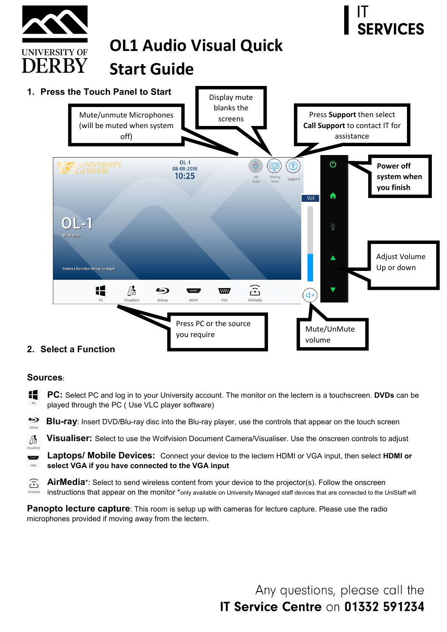

## **Sources:**

Æ **PC:** Select PC and log in to your University account. The monitor on the lectern is a touchscreen. **DVDs** can be played through the PC ( Use VLC player software)

6 **Blu-ray**: Insert DVD/Blu-ray disc into the Blu-ray player, use the controls that appear on the touch screen Bluray

**Visualiser:** Select to use the Wolfvision Document Camera/Visualiser. Use the onscreen controls to adjust Æ

Visualizer **Laptops/ Mobile Devices:** Connect your device to the lectern HDMI or VGA input, then select **HDMI or**  IMOH **select VGA if you have connected to the VGA input**

 $\widehat{\mathbb{G}}$ **AirMedia**\*: Select to send wireless content from your device to the projector(s). Follow the onscreen instructions that appear on the monitor \*only available on University Managed staff devices that are connected to the UniStaff wifi

**Panopto lecture capture**: This room is setup up with cameras for lecture capture. Please use the radio microphones provided if moving away from the lectern.

> Any questions, please call the **IT Service Centre on 01332 591234**